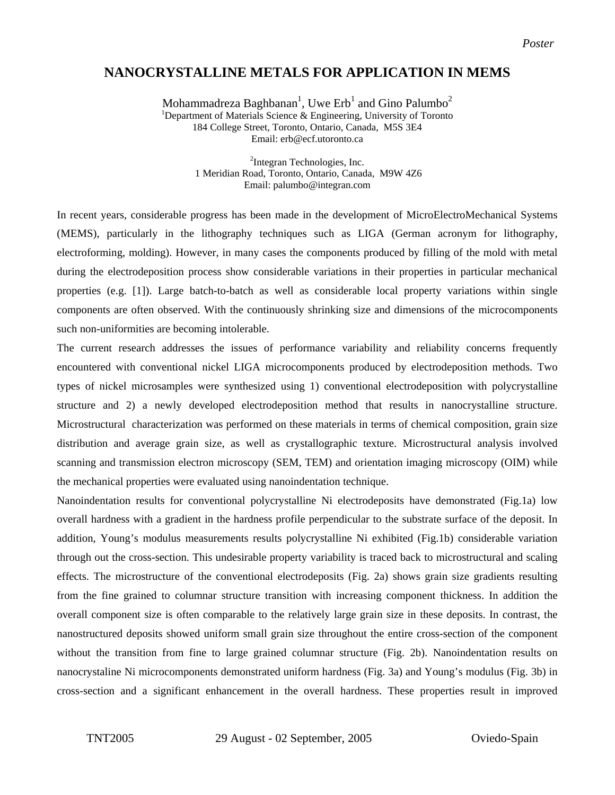*Poster* 

## **NANOCRYSTALLINE METALS FOR APPLICATION IN MEMS**

Mohammadreza Baghbanan $^1$ , Uwe Erb $^1$  and Gino Palumbo $^2$ <sup>1</sup>Department of Materials Science & Engineering, University of Toronto 184 College Street, Toronto, Ontario, Canada, M5S 3E4 Email: erb@ecf.utoronto.ca

> <sup>2</sup>Integran Technologies, Inc. 1 Meridian Road, Toronto, Ontario, Canada, M9W 4Z6 Email: palumbo@integran.com

In recent years, considerable progress has been made in the development of MicroElectroMechanical Systems (MEMS), particularly in the lithography techniques such as LIGA (German acronym for lithography, electroforming, molding). However, in many cases the components produced by filling of the mold with metal during the electrodeposition process show considerable variations in their properties in particular mechanical properties (e.g. [1]). Large batch-to-batch as well as considerable local property variations within single components are often observed. With the continuously shrinking size and dimensions of the microcomponents such non-uniformities are becoming intolerable.

The current research addresses the issues of performance variability and reliability concerns frequently encountered with conventional nickel LIGA microcomponents produced by electrodeposition methods. Two types of nickel microsamples were synthesized using 1) conventional electrodeposition with polycrystalline structure and 2) a newly developed electrodeposition method that results in nanocrystalline structure. Microstructural characterization was performed on these materials in terms of chemical composition, grain size distribution and average grain size, as well as crystallographic texture. Microstructural analysis involved scanning and transmission electron microscopy (SEM, TEM) and orientation imaging microscopy (OIM) while the mechanical properties were evaluated using nanoindentation technique.

Nanoindentation results for conventional polycrystalline Ni electrodeposits have demonstrated (Fig.1a) low overall hardness with a gradient in the hardness profile perpendicular to the substrate surface of the deposit. In addition, Young's modulus measurements results polycrystalline Ni exhibited (Fig.1b) considerable variation through out the cross-section. This undesirable property variability is traced back to microstructural and scaling effects. The microstructure of the conventional electrodeposits (Fig. 2a) shows grain size gradients resulting from the fine grained to columnar structure transition with increasing component thickness. In addition the overall component size is often comparable to the relatively large grain size in these deposits. In contrast, the nanostructured deposits showed uniform small grain size throughout the entire cross-section of the component without the transition from fine to large grained columnar structure (Fig. 2b). Nanoindentation results on nanocrystaline Ni microcomponents demonstrated uniform hardness (Fig. 3a) and Young's modulus (Fig. 3b) in cross-section and a significant enhancement in the overall hardness. These properties result in improved